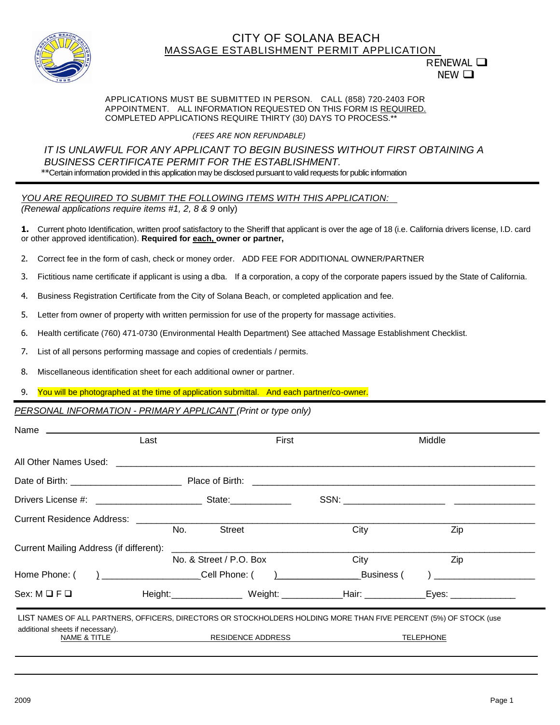

## CITY OF SOLANA BEACH MASSAGE ESTABLISHMENT PERMIT APPLICATION

# RENEWAL  $\square$ NEW □

#### APPLICATIONS MUST BE SUBMITTED IN PERSON. CALL (858) 720-2403 FOR APPOINTMENT. ALL INFORMATION REQUESTED ON THIS FORM IS REQUIRED. COMPLETED APPLICATIONS REQUIRE THIRTY (30) DAYS TO PROCESS.\*\*

### *(FEES ARE NON REFUNDABLE)*

### *IT IS UNLAWFUL FOR ANY APPLICANT TO BEGIN BUSINESS WITHOUT FIRST OBTAINING A BUSINESS CERTIFICATE PERMIT FOR THE ESTABLISHMENT.*  \*\*Certain information provided in this application may be disclosed pursuant to valid requests for public information

*YOU ARE REQUIRED TO SUBMIT THE FOLLOWING ITEMS WITH THIS APPLICATION: (Renewal applications require items #1, 2, 8 & 9 only)* 

**1.** Current photo Identification, written proof satisfactory to the Sheriff that applicant is over the age of 18 (i.e. California drivers license, I.D. card or other approved identification). **Required for each, owner or partner,** 

- 2. Correct fee in the form of cash, check or money order. ADD FEE FOR ADDITIONAL OWNER/PARTNER
- 3. Fictitious name certificate if applicant is using a dba. If a corporation, a copy of the corporate papers issued by the State of California.
- 4. Business Registration Certificate from the City of Solana Beach, or completed application and fee.
- 5. Letter from owner of property with written permission for use of the property for massage activities.
- 6. Health certificate (760) 471-0730 (Environmental Health Department) See attached Massage Establishment Checklist.
- 7. List of all persons performing massage and copies of credentials / permits.
- 8. Miscellaneous identification sheet for each additional owner or partner.

#### 9. You will be photographed at the time of application submittal. And each partner/co-owner.

#### *PERSONAL INFORMATION - PRIMARY APPLICANT (Print or type only)*

|                                                                                                                   | Last | First                   |                                                                                                                | Middle           |  |
|-------------------------------------------------------------------------------------------------------------------|------|-------------------------|----------------------------------------------------------------------------------------------------------------|------------------|--|
|                                                                                                                   |      |                         |                                                                                                                |                  |  |
|                                                                                                                   |      |                         |                                                                                                                |                  |  |
|                                                                                                                   |      |                         |                                                                                                                |                  |  |
|                                                                                                                   |      |                         |                                                                                                                |                  |  |
| Current Mailing Address (if different):                                                                           | No.  | <b>Street</b>           | City                                                                                                           | Zip              |  |
|                                                                                                                   |      | No. & Street / P.O. Box | City                                                                                                           | Zip              |  |
| Home Phone: (                                                                                                     |      |                         | and the Business (                                                                                             |                  |  |
| $Sex: M \square F \square$                                                                                        |      |                         | Height: Meight: Meight: Meight: Mair: Mair: Meight: Meight: Meight: Meight: Meight: Meight: Meight: Meight: Me | Eyes: Eyes:      |  |
| LIST NAMES OF ALL PARTNERS, OFFICERS, DIRECTORS OR STOCKHOLDERS HOLDING MORE THAN FIVE PERCENT (5%) OF STOCK (use |      |                         |                                                                                                                |                  |  |
| additional sheets if necessary).<br><b>NAME &amp; TITLE</b>                                                       |      | RESIDENCE ADDRESS       |                                                                                                                | <b>TELEPHONE</b> |  |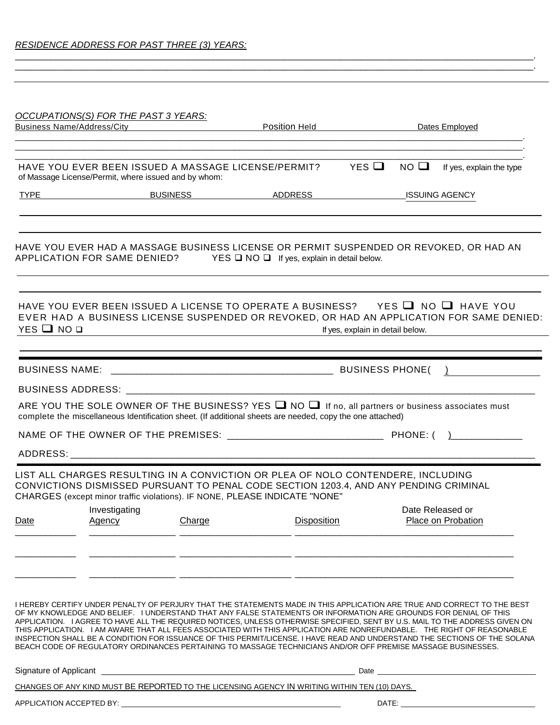|                          | OCCUPATIONS(S) FOR THE PAST 3 YEARS:                 |        |                                                                                                                                                                                                                                                                                                                                                                                                                                                                                                                                                                                                                                                                                                                                                     |                                  |                |                                                                                          |
|--------------------------|------------------------------------------------------|--------|-----------------------------------------------------------------------------------------------------------------------------------------------------------------------------------------------------------------------------------------------------------------------------------------------------------------------------------------------------------------------------------------------------------------------------------------------------------------------------------------------------------------------------------------------------------------------------------------------------------------------------------------------------------------------------------------------------------------------------------------------------|----------------------------------|----------------|------------------------------------------------------------------------------------------|
|                          |                                                      |        | Business Name/Address/City <b>Matter Contract Position Held Contract Dates Employed</b>                                                                                                                                                                                                                                                                                                                                                                                                                                                                                                                                                                                                                                                             |                                  |                |                                                                                          |
|                          |                                                      |        |                                                                                                                                                                                                                                                                                                                                                                                                                                                                                                                                                                                                                                                                                                                                                     |                                  |                |                                                                                          |
|                          | of Massage License/Permit, where issued and by whom: |        | HAVE YOU EVER BEEN ISSUED A MASSAGE LICENSE/PERMIT? YES                                                                                                                                                                                                                                                                                                                                                                                                                                                                                                                                                                                                                                                                                             |                                  | $NO$ $\square$ | If yes, explain the type                                                                 |
|                          |                                                      |        |                                                                                                                                                                                                                                                                                                                                                                                                                                                                                                                                                                                                                                                                                                                                                     |                                  |                |                                                                                          |
|                          |                                                      |        | HAVE YOU EVER HAD A MASSAGE BUSINESS LICENSE OR PERMIT SUSPENDED OR REVOKED, OR HAD AN<br>APPLICATION FOR SAME DENIED? YES ONO O If yes, explain in detail below.                                                                                                                                                                                                                                                                                                                                                                                                                                                                                                                                                                                   |                                  |                |                                                                                          |
| $YES$ $\Box$ $NO$ $\Box$ |                                                      |        | HAVE YOU EVER BEEN ISSUED A LICENSE TO OPERATE A BUSINESS? YES ■ NO ■ HAVE YOU<br><u> 1989 - Johann Barn, fransk politik fotograf (d. 1989)</u>                                                                                                                                                                                                                                                                                                                                                                                                                                                                                                                                                                                                     | If yes, explain in detail below. |                | EVER HAD A BUSINESS LICENSE SUSPENDED OR REVOKED, OR HAD AN APPLICATION FOR SAME DENIED: |
|                          |                                                      |        |                                                                                                                                                                                                                                                                                                                                                                                                                                                                                                                                                                                                                                                                                                                                                     |                                  |                |                                                                                          |
|                          |                                                      |        |                                                                                                                                                                                                                                                                                                                                                                                                                                                                                                                                                                                                                                                                                                                                                     |                                  |                |                                                                                          |
|                          |                                                      |        | ARE YOU THE SOLE OWNER OF THE BUSINESS? YES $\Box$ NO $\Box$ If no, all partners or business associates must<br>complete the miscellaneous Identification sheet. (If additional sheets are needed, copy the one attached)                                                                                                                                                                                                                                                                                                                                                                                                                                                                                                                           |                                  |                |                                                                                          |
|                          |                                                      |        |                                                                                                                                                                                                                                                                                                                                                                                                                                                                                                                                                                                                                                                                                                                                                     |                                  |                |                                                                                          |
|                          |                                                      |        |                                                                                                                                                                                                                                                                                                                                                                                                                                                                                                                                                                                                                                                                                                                                                     |                                  |                |                                                                                          |
|                          |                                                      |        | LIST ALL CHARGES RESULTING IN A CONVICTION OR PLEA OF NOLO CONTENDERE, INCLUDING<br>CONVICTIONS DISMISSED PURSUANT TO PENAL CODE SECTION 1203.4, AND ANY PENDING CRIMINAL<br>CHARGES (except minor traffic violations). IF NONE, PLEASE INDICATE "NONE"                                                                                                                                                                                                                                                                                                                                                                                                                                                                                             |                                  |                | Date Released or                                                                         |
| Date                     | Investigating<br><b>Agency</b>                       | Charge | <b>Disposition</b>                                                                                                                                                                                                                                                                                                                                                                                                                                                                                                                                                                                                                                                                                                                                  |                                  |                | Place on Probation                                                                       |
|                          |                                                      |        |                                                                                                                                                                                                                                                                                                                                                                                                                                                                                                                                                                                                                                                                                                                                                     |                                  |                |                                                                                          |
|                          |                                                      |        | I HEREBY CERTIFY UNDER PENALTY OF PERJURY THAT THE STATEMENTS MADE IN THIS APPLICATION ARE TRUE AND CORRECT TO THE BEST<br>OF MY KNOWLEDGE AND BELIEF. I UNDERSTAND THAT ANY FALSE STATEMENTS OR INFORMATION ARE GROUNDS FOR DENIAL OF THIS<br>APPLICATION. I AGREE TO HAVE ALL THE REQUIRED NOTICES, UNLESS OTHERWISE SPECIFIED, SENT BY U.S. MAIL TO THE ADDRESS GIVEN ON<br>THIS APPLICATION. I AM AWARE THAT ALL FEES ASSOCIATED WITH THIS APPLICATION ARE NONREFUNDABLE. THE RIGHT OF REASONABLE<br>INSPECTION SHALL BE A CONDITION FOR ISSUANCE OF THIS PERMIT/LICENSE. I HAVE READ AND UNDERSTAND THE SECTIONS OF THE SOLANA<br>BEACH CODE OF REGULATORY ORDINANCES PERTAINING TO MASSAGE TECHNICIANS AND/OR OFF PREMISE MASSAGE BUSINESSES. |                                  |                |                                                                                          |
|                          |                                                      |        |                                                                                                                                                                                                                                                                                                                                                                                                                                                                                                                                                                                                                                                                                                                                                     |                                  |                |                                                                                          |
|                          |                                                      |        | CHANGES OF ANY KIND MUST BE REPORTED TO THE LICENSING AGENCY IN WRITING WITHIN TEN (10) DAYS.                                                                                                                                                                                                                                                                                                                                                                                                                                                                                                                                                                                                                                                       |                                  |                |                                                                                          |
|                          |                                                      |        |                                                                                                                                                                                                                                                                                                                                                                                                                                                                                                                                                                                                                                                                                                                                                     |                                  | DATE:          |                                                                                          |

\_\_\_\_\_\_\_\_\_\_\_\_\_\_\_\_\_\_\_\_\_\_\_\_\_\_\_\_\_\_\_\_\_\_\_\_\_\_\_\_\_\_\_\_\_\_\_\_\_\_\_\_\_\_\_\_\_\_\_\_\_\_\_\_\_\_\_\_\_\_\_\_\_\_\_\_\_\_\_\_\_\_\_\_\_\_\_\_\_\_\_\_\_\_\_\_\_\_\_\_\_\_.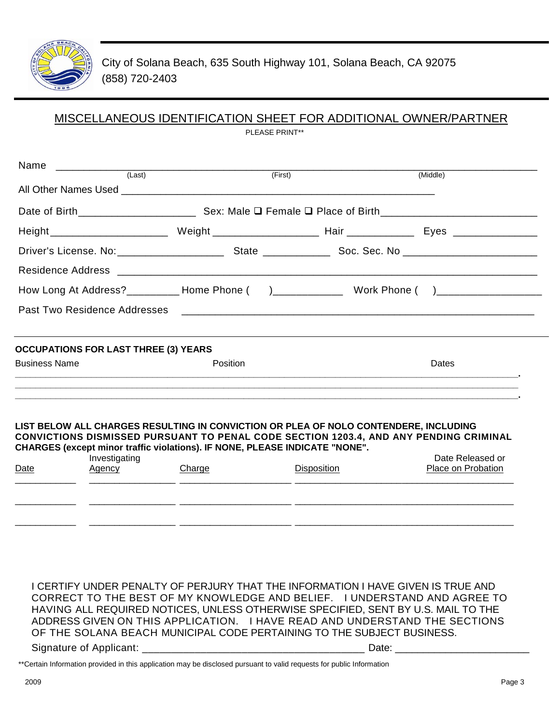

# MISCELLANEOUS IDENTIFICATION SHEET FOR ADDITIONAL OWNER/PARTNER

PLEASE PRINT\*\*

| (Last)                                      | (First)                                                                                                                                                                     | (Middle)                                                                                                             |
|---------------------------------------------|-----------------------------------------------------------------------------------------------------------------------------------------------------------------------------|----------------------------------------------------------------------------------------------------------------------|
|                                             |                                                                                                                                                                             |                                                                                                                      |
|                                             |                                                                                                                                                                             |                                                                                                                      |
|                                             | Height____________________________Weight______________________________Hair ___________________________________                                                              |                                                                                                                      |
|                                             |                                                                                                                                                                             |                                                                                                                      |
|                                             |                                                                                                                                                                             |                                                                                                                      |
|                                             | How Long At Address?_________ Home Phone ()_____________ Work Phone ()_________________                                                                                     |                                                                                                                      |
| Past Two Residence Addresses                |                                                                                                                                                                             | <u> 1980 - Jan Barat, margaret amerikan bernama dan bernama dalam pengaran bernama dalam pengaran bernama dalam </u> |
|                                             |                                                                                                                                                                             |                                                                                                                      |
| <b>OCCUPATIONS FOR LAST THREE (3) YEARS</b> |                                                                                                                                                                             |                                                                                                                      |
| <b>Business Name</b>                        | <b>Position</b>                                                                                                                                                             | Dates                                                                                                                |
|                                             |                                                                                                                                                                             |                                                                                                                      |
|                                             |                                                                                                                                                                             |                                                                                                                      |
|                                             | LIST BELOW ALL CHARGES RESULTING IN CONVICTION OR PLEA OF NOLO CONTENDERE, INCLUDING                                                                                        |                                                                                                                      |
|                                             | CONVICTIONS DISMISSED PURSUANT TO PENAL CODE SECTION 1203.4, AND ANY PENDING CRIMINAL<br><b>CHARGES (except minor traffic violations). IF NONE, PLEASE INDICATE "NONE".</b> |                                                                                                                      |
| Investigating                               |                                                                                                                                                                             | Date Released or                                                                                                     |
|                                             |                                                                                                                                                                             |                                                                                                                      |

I CERTIFY UNDER PENALTY OF PERJURY THAT THE INFORMATION I HAVE GIVEN IS TRUE AND CORRECT TO THE BEST OF MY KNOWLEDGE AND BELIEF. I UNDERSTAND AND AGREE TO HAVING ALL REQUIRED NOTICES, UNLESS OTHERWISE SPECIFIED, SENT BY U.S. MAIL TO THE ADDRESS GIVEN ON THIS APPLICATION. I HAVE READ AND UNDERSTAND THE SECTIONS OF THE SOLANA BEACH MUNICIPAL CODE PERTAINING TO THE SUBJECT BUSINESS.

\_\_\_\_\_\_\_\_\_\_\_\_ \_\_\_\_\_\_\_\_\_\_\_\_\_\_\_\_\_ \_\_\_\_\_\_\_\_\_\_\_\_\_\_\_\_\_\_\_\_\_\_ \_\_\_\_\_\_\_\_\_\_\_\_\_\_\_\_\_\_\_\_\_ \_\_\_\_\_\_\_\_\_\_\_\_\_\_\_\_\_\_\_\_\_\_

 $\_$  ,  $\_$  ,  $\_$  ,  $\_$  ,  $\_$  ,  $\_$  ,  $\_$  ,  $\_$  ,  $\_$  ,  $\_$  ,  $\_$  ,  $\_$  ,  $\_$  ,  $\_$  ,  $\_$  ,  $\_$  ,  $\_$  ,  $\_$  ,  $\_$  ,  $\_$  ,  $\_$  ,  $\_$  ,  $\_$  ,  $\_$  ,  $\_$  ,  $\_$  ,  $\_$  ,  $\_$  ,  $\_$  ,  $\_$  ,  $\_$  ,  $\_$  ,  $\_$  ,  $\_$  ,  $\_$  ,  $\_$  ,  $\_$  ,

Signature of Applicant: \_\_\_\_\_\_\_\_\_\_\_\_\_\_\_\_\_\_\_\_\_\_\_\_\_\_\_\_\_\_\_\_\_\_\_\_\_\_ Date: \_\_\_\_\_\_\_\_\_\_\_\_\_\_\_\_\_\_\_\_\_\_\_\_

\*\*Certain Information provided in this application may be disclosed pursuant to valid requests for public Information